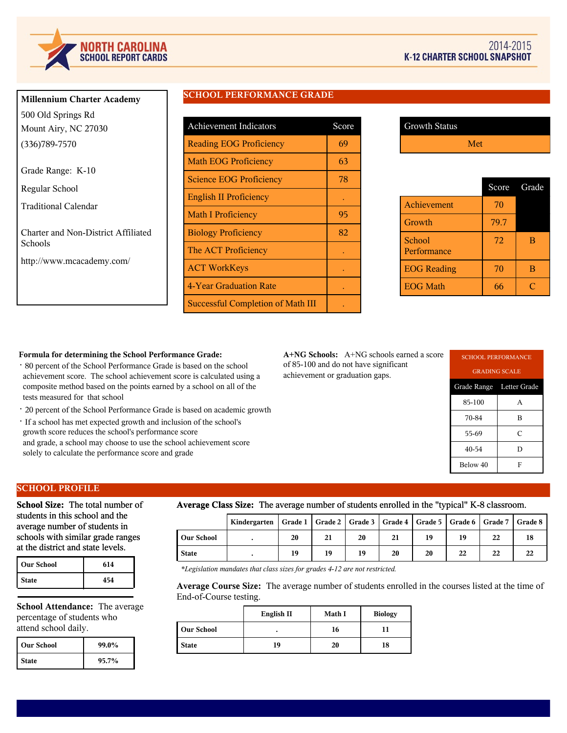

| <b>Millennium Charter Academy</b> |
|-----------------------------------|
| 500 Old Springs Rd                |
| Mount Airy, NC 27030              |
| $(336)789 - 7570$                 |
| Grade Range: K-10                 |

Regular School

Traditional Calendar

Charter and Non-District Affiliated Schools

http://www.mcacademy.com/

# **SCHOOL PERFORMANCE GRADE**

| <b>Achievement Indicators</b>            | Score |
|------------------------------------------|-------|
| <b>Reading EOG Proficiency</b>           | 69    |
| <b>Math EOG Proficiency</b>              | 63    |
| <b>Science EOG Proficiency</b>           | 78    |
| <b>English II Proficiency</b>            |       |
| <b>Math I Proficiency</b>                | 95    |
| <b>Biology Proficiency</b>               | 82    |
| The ACT Proficiency                      |       |
| <b>ACT WorkKeys</b>                      |       |
| 4-Year Graduation Rate                   |       |
| <b>Successful Completion of Math III</b> |       |

| <b>Growth Status</b> |     |
|----------------------|-----|
|                      | Met |

|                       | Score | Grade |
|-----------------------|-------|-------|
| Achievement           | 70    |       |
| Growth                | 79.7  |       |
| School<br>Performance | 72    | в     |
| <b>EOG</b> Reading    | 70    | в     |
| <b>EOG</b> Math       | 66    |       |

#### **Formula for determining the School Performance Grade:**

- · 80 percent of the School Performance Grade is based on the school achievement score. The school achievement score is calculated using a composite method based on the points earned by a school on all of the tests measured for that school
- · 20 percent of the School Performance Grade is based on academic growth
- · If a school has met expected growth and inclusion of the school's growth score reduces the school's performance score and grade, a school may choose to use the school achievement score solely to calculate the performance score and grade

**A+NG Schools:** A+NG schools earned a score of 85-100 and do not have significant achievement or graduation gaps.

| <b>SCHOOL PERFORMANCE</b> |   |  |  |  |
|---------------------------|---|--|--|--|
| <b>GRADING SCALE</b>      |   |  |  |  |
| Grade Range Letter Grade  |   |  |  |  |
| 85-100                    | A |  |  |  |
| 70-84                     | B |  |  |  |
| 55-69                     | C |  |  |  |
| 40-54                     | D |  |  |  |
| Below 40                  | F |  |  |  |

### **SCHOOL PROFILE**

**School Size:** The total number of students in this school and the average number of students in schools with similar grade ranges at the district and state levels.

| <b>Our School</b> | 614 |
|-------------------|-----|
| <b>State</b>      | 454 |

**School Attendance:** The average percentage of students who attend school daily.

| l Our School | 99.0%    |
|--------------|----------|
| <b>State</b> | $95.7\%$ |

### **Average Class Size:** The average number of students enrolled in the "typical" K-8 classroom.

| . .               |                                                                                              |    |    |    |    |    |    |    |    |
|-------------------|----------------------------------------------------------------------------------------------|----|----|----|----|----|----|----|----|
|                   | Kindergarten   Grade 1   Grade 2   Grade 3   Grade 4   Grade 5   Grade 6   Grade 7   Grade 8 |    |    |    |    |    |    |    |    |
| <b>Our School</b> |                                                                                              | 20 | 21 | 20 | 21 | 19 | 19 | 22 | 18 |
| <b>State</b>      |                                                                                              | 19 | 19 | 19 | 20 | 20 | 22 | 22 | 22 |

*\*Legislation mandates that class sizes for grades 4-12 are not restricted.*

**Average Course Size:** The average number of students enrolled in the courses listed at the time of End-of-Course testing.

|                   | English II | Math I | <b>Biology</b> |
|-------------------|------------|--------|----------------|
| <b>Our School</b> | ٠          | 16     |                |
| <b>State</b>      | 19         | 20     | 18             |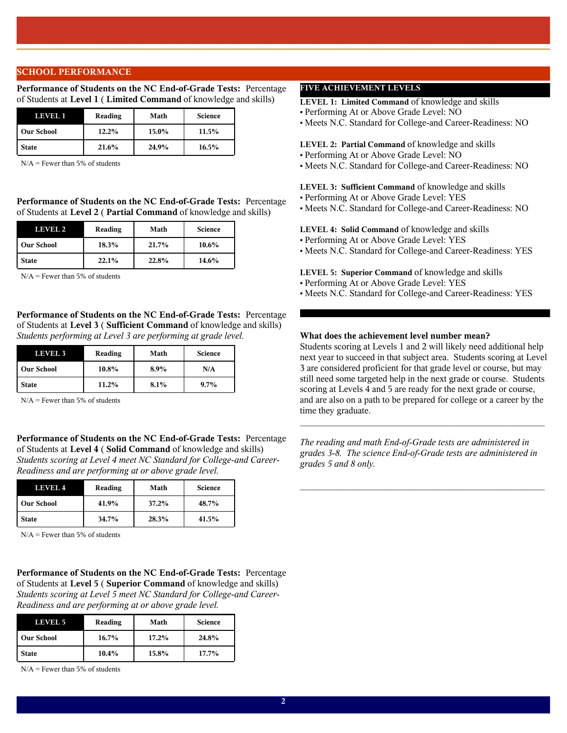### **SCHOOL PERFORMANCE**

**Performance of Students on the NC End-of-Grade Tests:** Percentage of Students at **Level 1** ( **Limited Command** of knowledge and skills)

| LEVEL 1           | Reading | Math  | <b>Science</b> |
|-------------------|---------|-------|----------------|
| <b>Our School</b> | 12.2%   | 15.0% | 11.5%          |
| <b>State</b>      | 21.6%   | 24.9% | 16.5%          |

 $N/A$  = Fewer than 5% of students

**Performance of Students on the NC End-of-Grade Tests:** Percentage of Students at **Level 2** ( **Partial Command** of knowledge and skills)

| LEVEL 2           | Reading | Math  | <b>Science</b> |
|-------------------|---------|-------|----------------|
| <b>Our School</b> | 18.3%   | 21.7% | $10.6\%$       |
| <b>State</b>      | 22.1%   | 22.8% | 14.6%          |

 $N/A$  = Fewer than 5% of students

**Performance of Students on the NC End-of-Grade Tests:** Percentage of Students at **Level 3** ( **Sufficient Command** of knowledge and skills) *Students performing at Level 3 are performing at grade level.*

| LEVEL 3           | Reading | Math | <b>Science</b> |
|-------------------|---------|------|----------------|
| <b>Our School</b> | 10.8%   | 8.9% | N/A            |
| <b>State</b>      | 11.2%   | 8.1% | $9.7\%$        |

 $N/A$  = Fewer than 5% of students

**Performance of Students on the NC End-of-Grade Tests:** Percentage of Students at **Level 4** ( **Solid Command** of knowledge and skills) *Students scoring at Level 4 meet NC Standard for College-and Career-Readiness and are performing at or above grade level.*

| LEVEL 4           | Reading  | Math     | <b>Science</b> |
|-------------------|----------|----------|----------------|
| <b>Our School</b> | 41.9%    | $37.2\%$ | 48.7%          |
| <b>State</b>      | $34.7\%$ | 28.3%    | 41.5%          |

 $N/A$  = Fewer than 5% of students

**Performance of Students on the NC End-of-Grade Tests:** Percentage of Students at **Level 5** ( **Superior Command** of knowledge and skills) *Students scoring at Level 5 meet NC Standard for College-and Career-Readiness and are performing at or above grade level.*

| LEVEL 5           | Reading  | Math  | <b>Science</b> |
|-------------------|----------|-------|----------------|
| <b>Our School</b> | $16.7\%$ | 17.2% | 24.8%          |
| <b>State</b>      | $10.4\%$ | 15.8% | 17.7%          |

 $N/A$  = Fewer than 5% of students

# **FIVE ACHIEVEMENT LEVELS**

**LEVEL 1: Limited Command** of knowledge and skills

- Performing At or Above Grade Level: NO
- Meets N.C. Standard for College-and Career-Readiness: NO

#### **LEVEL 2: Partial Command** of knowledge and skills

- Performing At or Above Grade Level: NO
- Meets N.C. Standard for College-and Career-Readiness: NO

**LEVEL 3: Sufficient Command** of knowledge and skills

- Performing At or Above Grade Level: YES
- Meets N.C. Standard for College-and Career-Readiness: NO

#### **LEVEL 4: Solid Command** of knowledge and skills

- Performing At or Above Grade Level: YES
- Meets N.C. Standard for College-and Career-Readiness: YES

**LEVEL 5: Superior Command** of knowledge and skills

- Performing At or Above Grade Level: YES
- Meets N.C. Standard for College-and Career-Readiness: YES

# **What does the achievement level number mean?**

Students scoring at Levels 1 and 2 will likely need additional help next year to succeed in that subject area. Students scoring at Level 3 are considered proficient for that grade level or course, but may still need some targeted help in the next grade or course. Students scoring at Levels 4 and 5 are ready for the next grade or course, and are also on a path to be prepared for college or a career by the time they graduate.

 $\mathcal{L}_\text{max}$  and the contract of the contract of the contract of the contract of the contract of the contract of the contract of the contract of the contract of the contract of the contract of the contract of the contrac

*The reading and math End-of-Grade tests are administered in grades 3-8. The science End-of-Grade tests are administered in grades 5 and 8 only.*

 $\mathcal{L}_\text{max}$  and  $\mathcal{L}_\text{max}$  and  $\mathcal{L}_\text{max}$  and  $\mathcal{L}_\text{max}$  and  $\mathcal{L}_\text{max}$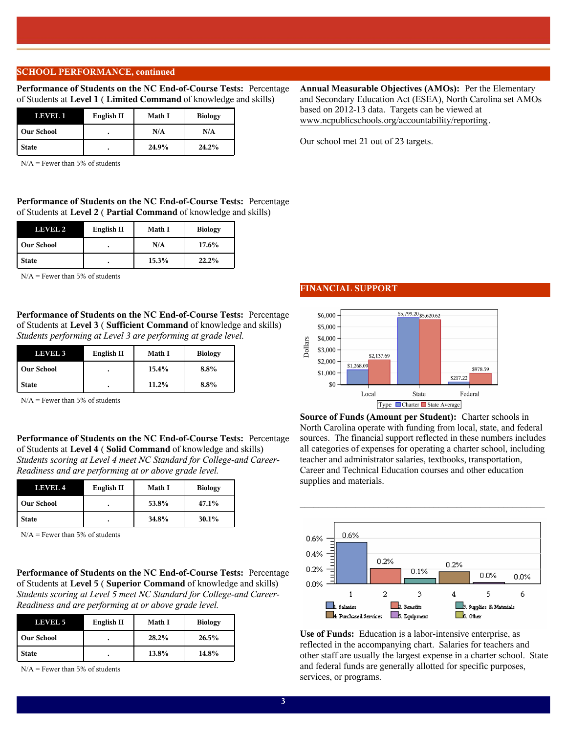### **SCHOOL PERFORMANCE, continued**

**Performance of Students on the NC End-of-Course Tests:** Percentage of Students at **Level 1** ( **Limited Command** of knowledge and skills)

| English II<br>LEVELI |  | <b>Math I</b> | <b>Biology</b> |
|----------------------|--|---------------|----------------|
| <b>Our School</b>    |  | N/A           | N/A            |
| <b>State</b>         |  | 24.9%         | 24.2%          |

 $N/A$  = Fewer than 5% of students

**Performance of Students on the NC End-of-Course Tests:** Percentage of Students at **Level 2** ( **Partial Command** of knowledge and skills)

| English II<br>LEVEL 2 |  | <b>Math I</b> | <b>Biology</b> |
|-----------------------|--|---------------|----------------|
| <b>Our School</b>     |  | N/A           | 17.6%          |
| <b>State</b>          |  | 15.3%         | 22.2%          |

 $N/A$  = Fewer than 5% of students

**Performance of Students on the NC End-of-Course Tests:** Percentage of Students at **Level 3** ( **Sufficient Command** of knowledge and skills) *Students performing at Level 3 are performing at grade level.*

| <b>LEVEL 3</b>    | English II | <b>Math I</b> | <b>Biology</b> |
|-------------------|------------|---------------|----------------|
| <b>Our School</b> |            | 15.4%         | $8.8\%$        |
| <b>State</b>      |            | 11.2%         | $8.8\%$        |

 $N/A$  = Fewer than 5% of students

**Performance of Students on the NC End-of-Course Tests:** Percentage of Students at **Level 4** ( **Solid Command** of knowledge and skills) *Students scoring at Level 4 meet NC Standard for College-and Career-Readiness and are performing at or above grade level.*

| LEVEL 4           | English II | <b>Math I</b> | <b>Biology</b> |
|-------------------|------------|---------------|----------------|
| <b>Our School</b> |            | 53.8%         | 47.1%          |
| <b>State</b>      |            | 34.8%         | 30.1%          |

 $N/A$  = Fewer than 5% of students

**Performance of Students on the NC End-of-Course Tests:** Percentage of Students at **Level 5** ( **Superior Command** of knowledge and skills) *Students scoring at Level 5 meet NC Standard for College-and Career-Readiness and are performing at or above grade level.*

| LEVEL 5           | English II | <b>Math I</b> | <b>Biology</b> |
|-------------------|------------|---------------|----------------|
| <b>Our School</b> |            | 28.2%         | 26.5%          |
| <b>State</b>      |            | 13.8%         | 14.8%          |

 $N/A$  = Fewer than 5% of students

# **FINANCIAL SUPPORT**



**Source of Funds (Amount per Student):** Charter schools in North Carolina operate with funding from local, state, and federal sources. The financial support reflected in these numbers includes all categories of expenses for operating a charter school, including teacher and administrator salaries, textbooks, transportation, Career and Technical Education courses and other education supplies and materials.

 $\mathcal{L}_\text{max}$  and  $\mathcal{L}_\text{max}$  and  $\mathcal{L}_\text{max}$  and  $\mathcal{L}_\text{max}$  and  $\mathcal{L}_\text{max}$ 



**Use of Funds:** Education is a labor-intensive enterprise, as reflected in the accompanying chart. Salaries for teachers and other staff are usually the largest expense in a charter school. State and federal funds are generally allotted for specific purposes, services, or programs.

# **Annual Measurable Objectives (AMOs):** Per the Elementary and Secondary Education Act (ESEA), North Carolina set AMOs based on 2012-13 data. Targets can be viewed at www.ncpublicschools.org/accountability/reporting.

Our school met 21 out of 23 targets.